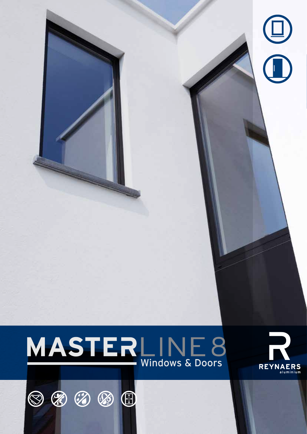

 $\bigoplus$ 





 $\circledcirc \circledast \circledast$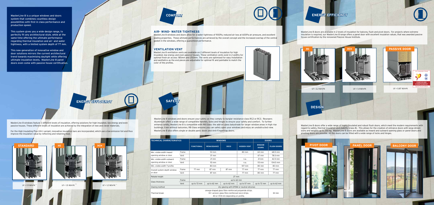## **ENERGY EFFICIENCY**

MasterLine 8 is a unique windows and doors **COMFORT** system that combines countless design possibilities with first in class performance and production speed.

This system gives you a wide design range, to perfectly fit any architectural style, while at the same time offering the ultimate performance regarding thermal insulation and air- and water tightness, with a limited system depth of 77 mm.

This new generation of innovative window and door solutions mirrors the current architectural trend towards maximising daylight while offering ultimate insulation levels. MasterLine 8 panel doors even come with passive house certification.

MasterLine 8 windows feature 3 different levels of insulation, offering solutions for high insulated, low energy and even passive houses. These different levels of insulation are achieved by the integration of new and clever materials.

For the High Insulating Plus (HI+) variant, innovative insulation bars are incorporated, which use a low-emission foil and thus improve the insulation value by reflecting and retaining heat.

MasterLine 8 doors are available in 2 levels of insulation for balcony, flush and pivot doors. For projects where extreme insulation is required, our MasterLine 8 range offers a panel door with excellent insulation values, that was awarded passive house certification by the renowned Passive House Institute.



MasterLine 8 doors offer a wide range of highly insulated and robust flush doors, which meet the modern requirements with regard to safety, thermal insulation and stability (class 8). This allows for the creation of entrance doors with large dimensions and weights up to 250 kg. MasterLine 8 doors are available as inward and outward opening glass or panel doors and pivoting doors are possible. All the doors can be fitted with a wide range of locks and hinges.



MasterLine 8 windows and doors ensure your safety as they comply to burglar resistance class RC2 or RC3. Reynaers Aluminium offers a wide range of compatible handles, locks and hinges to ensure your safety and comfort. To further enhance safety, MasterLine 8 is compatible with RB Glass: the add-on glass balustrade for larger window areas in high rise buildings. Even without balconies, RB Glass ensures you can safely open your windows and enjoy an unobstructed view. MasterLine 8 also offers single or double panic doors and Anti-Fingertrap doors.

| <b>TECHNICAL CHARACTERISTICS</b>                     |       | <b>WINDOWS</b>                             | <b>DOORS</b>       |             |                    |                               |                    |  |  |  |
|------------------------------------------------------|-------|--------------------------------------------|--------------------|-------------|--------------------|-------------------------------|--------------------|--|--|--|
|                                                      |       | <b>FUNCTIONAL</b>                          | <b>RENAISSANCE</b> | <b>DECO</b> | <b>HIDDEN VENT</b> | <b>WINDOW</b><br><b>DOORS</b> | <b>FLUSH DOORS</b> |  |  |  |
| Min. visible width inward                            | Frame |                                            | 53 mm              |             | 80 mm              | 68.5 mm<br>60 mm              |                    |  |  |  |
| opening window or door                               | Vent  |                                            | 37 mm              |             |                    | 67 mm                         | 78.5 mm            |  |  |  |
| Min. visible width outward<br>opening window or door | Frame |                                            | $21 \, \text{mm}$  |             | n.a.               | $21 \, \text{mm}$             | 42.5 mm            |  |  |  |
|                                                      | Vent  |                                            | $113$ mm           |             | n.a.               | $113 \, \text{mm}$            | 104.5 mm           |  |  |  |
| Min. visible width T-profile                         |       |                                            | 80 mm              |             | 107 mm             | 80 mm                         | 80 mm              |  |  |  |
| Overall system depth window<br>or door               | Frame | 77 mm                                      | 87 mm              | 87 mm       | 77 mm              | 77 mm                         | 77 mm              |  |  |  |
|                                                      | Vent  |                                            | 87 mm              |             | 77 mm              | 80 mm                         | 77 mm              |  |  |  |
| Rebate height                                        |       | $27$ mm                                    |                    |             |                    |                               |                    |  |  |  |
|                                                      | Frame |                                            |                    |             |                    |                               |                    |  |  |  |
| Glass thickness                                      | Vent  | up to 72 mm                                | up to 62 mm        | up to 62 mm | up to 57 mm        | up to 72 mm                   | up to 62 mm        |  |  |  |
| Glazing method                                       |       | dry glazing with EPDM or neutral silicones |                    |             |                    |                               |                    |  |  |  |
| Thermal break                                        |       | 32 mm                                      |                    |             |                    |                               |                    |  |  |  |





## **AIR- WIND- WATER TIGHTNESS**

MasterLine 8 windows and doors allow for a water tightness of 900Pa, reduced air loss at 600Pa air pressure, and excellent sealing properties. These ultimate performances are achieved by the overall concept and the increased overlap of the central gasket in the windows, offering a guaranteed performance.

## **VENTILATION VENT**

MasterLine 8 ventilation vents are available on 2 different levels of insulation for high insulated, low energy and even passive houses. These ventilation vents exist in 2 widths for optimal fresh air access: 185mm and 250mm. The vents are optimised for easy installation and aesthetics as the end pieces are adjustable for optimal fit and paintable to match the color of the profiles.

# **SAFET**

## **ENERGY EFFICIENCY**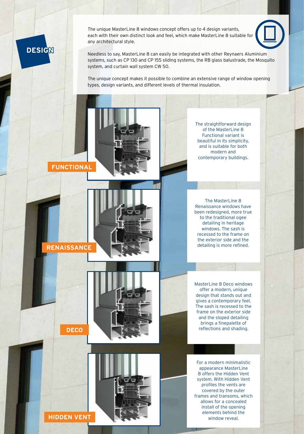The unique MasterLine 8 windows concept offers up to 4 design variants, each with their own distinct look and feel, which make MasterLine 8 suitable for any architectural style.



Needless to say, MasterLine 8 can easily be integrated with other Reynaers Aluminium systems, such as CP 130 and CP 155 sliding systems, the RB glass balustrade, the Mosquito system, and curtain wall system CW 50.

The unique concept makes it possible to combine an extensive range of window opening types, design variants, and different levels of thermal insulation.



**DESIGN**



The straightforward design of the MasterLine 8 Functional variant is beautiful in its simplicity, and is suitable for both modern and contemporary buildings.

The MasterLine 8 Renaissance windows have been redesigned, more true to the traditional ogee detailing in heritage windows. The sash is recessed to the frame on the exterior side and the detailing is more refined.

MasterLine 8 Deco windows offer a modern, unique design that stands out and gives a contemporary feel. The sash is recessed to the frame on the exterior side and the sloped detailing brings a finepalette of reflections and shading.

For a modern minimalistic appearance MasterLine 8 offers the Hidden Vent system. With Hidden Vent profiles the vents are covered by the outer frames and transoms, which allows for a concealed install of the opening elements behind the window reveal.



**RENAISSANCE**

**DECO**





**HIDDEN VENT**